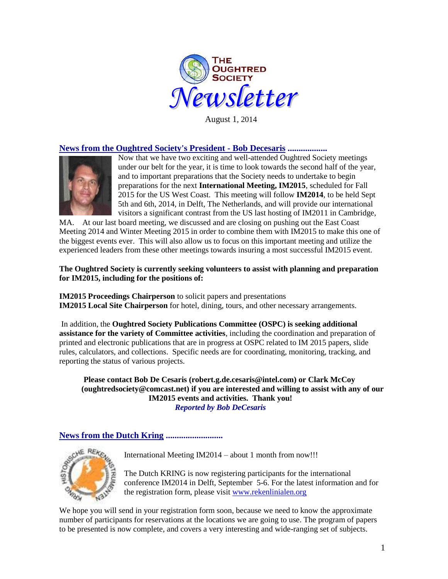

August 1, 2014

# **News from the Oughtred Society's President - Bob Decesaris ..................**



Now that we have two exciting and well-attended Oughtred Society meetings under our belt for the year, it is time to look towards the second half of the year, and to important preparations that the Society needs to undertake to begin preparations for the next **International Meeting, IM2015**, scheduled for Fall 2015 for the US West Coast. This meeting will follow **IM2014**, to be held Sept 5th and 6th, 2014, in Delft, The Netherlands, and will provide our international visitors a significant contrast from the US last hosting of IM2011 in Cambridge,

MA. At our last board meeting, we discussed and are closing on pushing out the East Coast Meeting 2014 and Winter Meeting 2015 in order to combine them with IM2015 to make this one of the biggest events ever. This will also allow us to focus on this important meeting and utilize the experienced leaders from these other meetings towards insuring a most successful IM2015 event.

## **The Oughtred Society is currently seeking volunteers to assist with planning and preparation for IM2015, including for the positions of:**

**IM2015 Proceedings Chairperson** to solicit papers and presentations **IM2015 Local Site Chairperson** for hotel, dining, tours, and other necessary arrangements.

In addition, the **Oughtred Society Publications Committee (OSPC) is seeking additional assistance for the variety of Committee activities**, including the coordination and preparation of printed and electronic publications that are in progress at OSPC related to IM 2015 papers, slide rules, calculators, and collections. Specific needs are for coordinating, monitoring, tracking, and reporting the status of various projects.

**Please contact Bob De Cesaris (robert.g.de.cesaris@intel.com) or Clark McCoy (oughtredsociety@comcast.net) if you are interested and willing to assist with any of our IM2015 events and activities. Thank you!** *Reported by Bob DeCesaris*

# **News from the Dutch Kring ..........................**



International Meeting IM2014 – about 1 month from now!!!

The Dutch KRING is now registering participants for the international conference IM2014 in Delft, September 5-6. For the latest information and for the registration form, please visit [www.rekenlinialen.org](http://www.google.com/url?q=http%3A%2F%2Fwww.rekenlinialen.org%2F&sa=D&sntz=1&usg=AFQjCNGmICQIKoCsMhXtSy37CgTYS8aerQ)

We hope you will send in your registration form soon, because we need to know the approximate number of participants for reservations at the locations we are going to use. The program of papers to be presented is now complete, and covers a very interesting and wide-ranging set of subjects.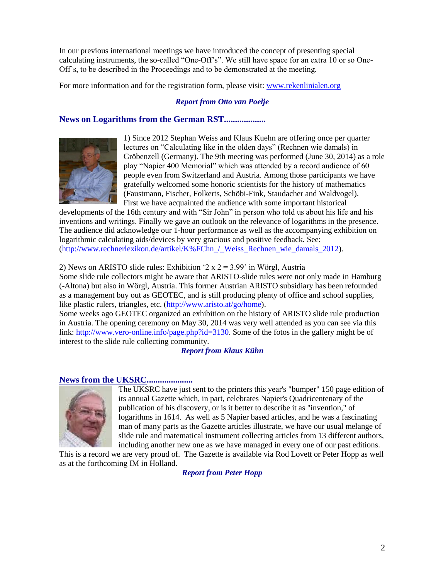In our previous international meetings we have introduced the concept of presenting special calculating instruments, the so-called "One-Off's". We still have space for an extra 10 or so One-Off's, to be described in the Proceedings and to be demonstrated at the meeting.

For more information and for the registration form, please visit: [www.rekenlinialen.org](http://www.rekenlinialen.org/)

# *Report from Otto van Poelje*

# **News on Logarithms from the German RST...................**



1) Since 2012 Stephan Weiss and Klaus Kuehn are offering once per quarter lectures on "Calculating like in the olden days" (Rechnen wie damals) in Gröbenzell (Germany). The 9th meeting was performed (June 30, 2014) as a role play "Napier 400 Memorial" which was attended by a record audience of 60 people even from Switzerland and Austria. Among those participants we have gratefully welcomed some honoric scientists for the history of mathematics (Faustmann, Fischer, Folkerts, Schöbi-Fink, Staudacher and Waldvogel). First we have acquainted the audience with some important historical

developments of the 16th century and with "Sir John" in person who told us about his life and his inventions and writings. Finally we gave an outlook on the relevance of logarithms in the presence. The audience did acknowledge our 1-hour performance as well as the accompanying exhibition on logarithmic calculating aids/devices by very gracious and positive feedback. See: (http://www.rechnerlexikon.de/artikel/K%FChn\_/\_Weiss\_Rechnen\_wie\_damals\_2012).

#### 2) News on ARISTO slide rules: Exhibition  $2 \times 2 = 3.99$  in Wörgl, Austria

Some slide rule collectors might be aware that ARISTO-slide rules were not only made in Hamburg (-Altona) but also in Wörgl, Austria. This former Austrian ARISTO subsidiary has been refounded as a management buy out as GEOTEC, and is still producing plenty of office and school supplies, like plastic rulers, triangles, etc. (http://www.aristo.at/go/home).

Some weeks ago GEOTEC organized an exhibition on the history of ARISTO slide rule production in Austria. The opening ceremony on May 30, 2014 was very well attended as you can see via this link: http://www.vero-online.info/page.php?id=3130. Some of the fotos in the gallery might be of interest to the slide rule collecting community.

#### *Report from Klaus Kühn*

## **News from the UKSRC.....................**



The UKSRC have just sent to the printers this year's "bumper" 150 page edition of its annual Gazette which, in part, celebrates Napier's Quadricentenary of the publication of his discovery, or is it better to describe it as "invention," of logarithms in 1614. As well as 5 Napier based articles, and he was a fascinating man of many parts as the Gazette articles illustrate, we have our usual melange of slide rule and matematical instrument collecting articles from 13 different authors, including another new one as we have managed in every one of our past editions.

This is a record we are very proud of. The Gazette is available via Rod Lovett or Peter Hopp as well as at the forthcoming IM in Holland.

*Report from Peter Hopp*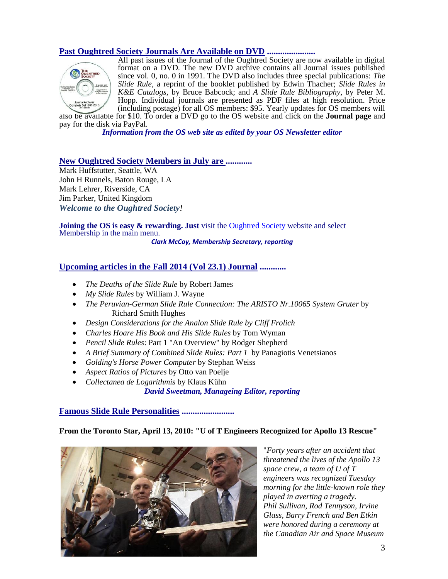# **Past Oughtred Society Journals Are Available on DVD ......................**



All past issues of the Journal of the Oughtred Society are now available in digital format on a DVD. The new DVD archive contains all Journal issues published since vol. 0, no. 0 in 1991. The DVD also includes three special publications: *The Slide Rule,* a reprint of the booklet published by Edwin Thacher; *Slide Rules in K&E Catalogs,* by Bruce Babcock; and *A Slide Rule Bibliography*, by Peter M. Hopp. Individual journals are presented as PDF files at high resolution. Price (including postage) for all OS members: \$95. Yearly updates for OS members will

also be available for \$10. To order a DVD go to the OS website and click on the **[Journal page](http://www.oughtred.org/journal.shtml#dvd)** and pay for the disk via PayPal.

*Information from the OS web site as edited by your OS Newsletter editor*

#### **New Oughtred Society Members in July are ............**

Mark Huffstutter, Seattle, WA John H Runnels, Baton Rouge, LA Mark Lehrer, Riverside, CA Jim Parker, United Kingdom *Welcome to the Oughtred Society!* 

**Joining the OS is easy & rewarding. Just** visit the **Oughtred Society** website and select Membership in the main menu.

*Clark McCoy, Membership Secretary, reporting*

## **Upcoming articles in the Fall 2014 (Vol 23.1) Journal ............**

- *The Deaths of the Slide Rule* by Robert James
- *My Slide Rules* by William J. Wayne
- *The Peruvian-German Slide Rule Connection: The ARISTO Nr.10065 System Gruter* by Richard Smith Hughes
- *Design Considerations for the Analon Slide Rule by Cliff Frolich*
- *Charles Hoare His Book and His Slide Rules* by Tom Wyman
- *Pencil Slide Rules*: Part 1 "An Overview" by Rodger Shepherd
- *A Brief Summary of Combined Slide Rules: Part 1* by Panagiotis Venetsianos
- *Golding's Horse Power Computer* by Stephan Weiss
- *Aspect Ratios of Pictures* by Otto van Poelje
- *Collectanea de Logarithmis* by Klaus Kühn

*David Sweetman, Manageing Editor, reporting*

#### **Famous Slide Rule Personalities ........................**

#### **From the Toronto Star, April 13, 2010: "U of T Engineers Recognized for Apollo 13 Rescue"**



"*Forty years after an accident that threatened the lives of the Apollo 13 space crew, a team of U of T engineers was recognized Tuesday morning for the little-known role they played in averting a tragedy. Phil Sullivan, Rod Tennyson, Irvine Glass, Barry French and Ben Etkin were honored during a ceremony at the Canadian Air and Space Museum*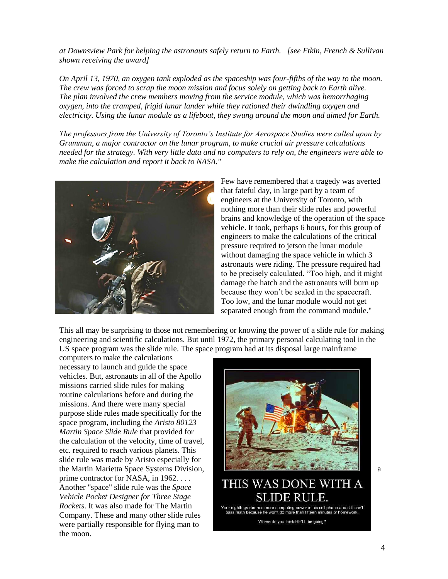*at Downsview Park for helping the astronauts safely return to Earth. [see Etkin, French & Sullivan shown receiving the award]*

*On April 13, 1970, an oxygen tank exploded as the spaceship was four-fifths of the way to the moon. The crew was forced to scrap the moon mission and focus solely on getting back to Earth alive. The plan involved the crew members moving from the service module, which was hemorrhaging oxygen, into the cramped, frigid lunar lander while they rationed their dwindling oxygen and electricity. Using the lunar module as a lifeboat, they swung around the moon and aimed for Earth.*

*The professors from the University of Toronto's Institute for Aerospace Studies were called upon by Grumman, a major contractor on the lunar program, to make crucial air pressure calculations needed for the strategy. With very little data and no computers to rely on, the engineers were able to make the calculation and report it back to NASA."*



Few have remembered that a tragedy was averted that fateful day, in large part by a team of engineers at the University of Toronto, with nothing more than their slide rules and powerful brains and knowledge of the operation of the space vehicle. It took, perhaps 6 hours, for this group of engineers to make the calculations of the critical pressure required to jetson the lunar module without damaging the space vehicle in which 3 astronauts were riding. The pressure required had to be precisely calculated. "Too high, and it might damage the hatch and the astronauts will burn up because they won't be sealed in the spacecraft. Too low, and the lunar module would not get separated enough from the command module."

This all may be surprising to those not remembering or knowing the power of a slide rule for making engineering and scientific calculations. But until 1972, the primary personal calculating tool in the US space program was the slide rule. The space program had at its disposal large mainframe

computers to make the calculations necessary to launch and guide the space vehicles. But, astronauts in all of the Apollo missions carried slide rules for making routine calculations before and during the missions. And there were many special purpose slide rules made specifically for the space program, including the *Aristo 80123 Martin Space Slide Rule* that provided for the calculation of the velocity, time of travel, etc. required to reach various planets. This slide rule was made by Aristo especially for prime contractor for NASA, in 1962. . . . Another "space" slide rule was the *Space Vehicle Pocket Designer for Three Stage Rockets*. It was also made for The Martin Company. These and many other slide rules were partially responsible for flying man to the moon.



# THIS WAS DONE WITH A

Your eighth grader h our eighth grader has more computing power in his cell phone and still can't<br>pass math because he won't do more than fifteen minutes of homework.

Where do you think HE'LL be going?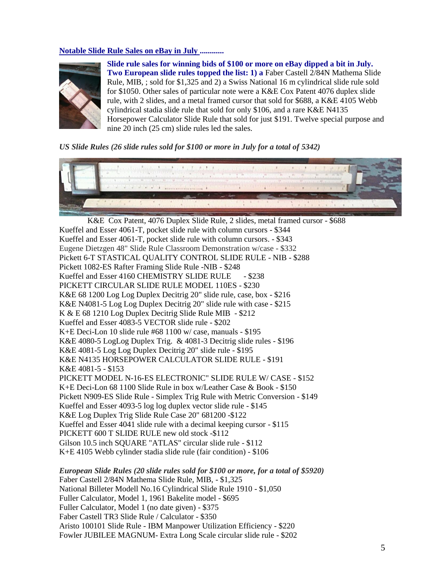## **Notable Slide Rule Sales on eBay in July ............**



**Slide rule sales for winning bids of \$100 or more on eBay dipped a bit in July. Two European slide rules topped the list: 1) a** Faber Castell 2/84N Mathema Slide Rule, MIB, ; sold for \$1,325 and 2) a Swiss National 16 m cylindrical slide rule sold for \$1050. Other sales of particular note were a K&E Cox Patent 4076 duplex slide rule, with 2 slides, and a metal framed cursor that sold for \$688, a K&E 4105 Webb cylindrical stadia slide rule that sold for only \$106, and a rare K&E N4135 Horsepower Calculator Slide Rule that sold for just \$191. Twelve special purpose and nine 20 inch (25 cm) slide rules led the sales.

*US Slide Rules (26 slide rules sold for \$100 or more in July for a total of 5342)*



 K&E Cox Patent, 4076 Duplex Slide Rule, 2 slides, metal framed cursor - \$688 Kueffel and Esser 4061-T, pocket slide rule with column cursors - \$344 Kueffel and Esser 4061-T, pocket slide rule with column cursors. - \$343 Eugene Dietzgen 48" Slide Rule Classroom Demonstration w/case - \$332 Pickett 6-T STASTICAL QUALITY CONTROL SLIDE RULE - NIB - \$288 Pickett 1082-ES Rafter Framing Slide Rule -NIB - \$248 Kueffel and Esser 4160 CHEMISTRY SLIDE RULE - \$238 PICKETT CIRCULAR SLIDE RULE MODEL 110ES - \$230 K&E 68 1200 Log Log Duplex Decitrig 20" slide rule, case, box - \$216 K&E N4081-5 Log Log Duplex Decitrig 20" slide rule with case - \$215 K & E 68 1210 Log Duplex Decitrig Slide Rule MIB - \$212 Kueffel and Esser 4083-5 VECTOR slide rule - \$202 K+E Deci-Lon 10 slide rule #68 1100 w/ case, manuals - \$195 K&E 4080-5 LogLog Duplex Trig. & 4081-3 Decitrig slide rules - \$196 K&E 4081-5 Log Log Duplex Decitrig 20" slide rule - \$195 K&E N4135 HORSEPOWER CALCULATOR SLIDE RULE - \$191 K&E 4081-5 - \$153 PICKETT MODEL N-16-ES ELECTRONIC" SLIDE RULE W/ CASE - \$152 K+E Deci-Lon 68 1100 Slide Rule in box w/Leather Case & Book - \$150 Pickett N909-ES Slide Rule - Simplex Trig Rule with Metric Conversion - \$149 Kueffel and Esser 4093-5 log log duplex vector slide rule - \$145 K&E Log Duplex Trig Slide Rule Case 20" 681200 -\$122 Kueffel and Esser 4041 slide rule with a decimal keeping cursor - \$115 PICKETT 600 T SLIDE RULE new old stock -\$112 Gilson 10.5 inch SQUARE "ATLAS" circular slide rule - \$112 K+E 4105 Webb cylinder stadia slide rule (fair condition) - \$106

*European Slide Rules (20 slide rules sold for \$100 or more, for a total of \$5920)* Faber Castell 2/84N Mathema Slide Rule, MIB, - \$1,325 National Billeter Modell No.16 Cylindrical Slide Rule 1910 - \$1,050 Fuller Calculator, Model 1, 1961 Bakelite model - \$695 Fuller Calculator, Model 1 (no date given) - \$375 Faber Castell TR3 Slide Rule / Calculator - \$350 Aristo 100101 Slide Rule - IBM Manpower Utilization Efficiency - \$220 Fowler JUBILEE MAGNUM- Extra Long Scale circular slide rule - \$202